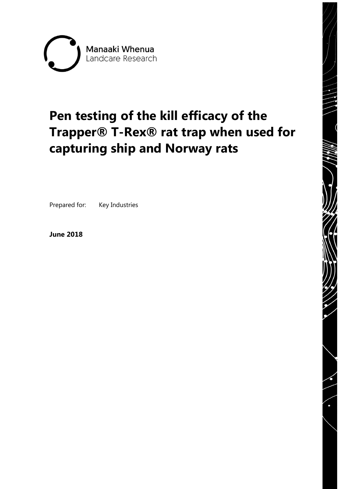

# **Pen testing of the kill efficacy of the Trapper® T-Rex® rat trap when used for capturing ship and Norway rats**

Prepared for: Key Industries

**June 2018**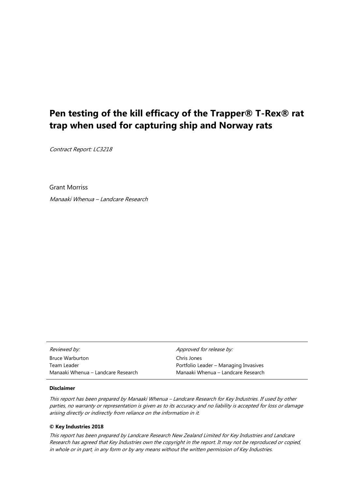## **Pen testing of the kill efficacy of the Trapper® T-Rex® rat trap when used for capturing ship and Norway rats**

Contract Report: LC3218

Grant Morriss

Manaaki Whenua – Landcare Research

| Reviewed by:                       | Approved for release by:              |
|------------------------------------|---------------------------------------|
| <b>Bruce Warburton</b>             | Chris Jones                           |
| Team Leader                        | Portfolio Leader - Managing Invasives |
| Manaaki Whenua – Landcare Research | Manaaki Whenua – Landcare Research    |

#### **Disclaimer**

This report has been prepared by Manaaki Whenua – Landcare Research for Key Industries. If used by other parties, no warranty or representation is given as to its accuracy and no liability is accepted for loss or damage arising directly or indirectly from reliance on the information in it.

#### **© Key Industries 2018**

This report has been prepared by Landcare Research New Zealand Limited for Key Industries and Landcare Research has agreed that Key Industries own the copyright in the report. It may not be reproduced or copied, in whole or in part, in any form or by any means without the written permission of Key Industries.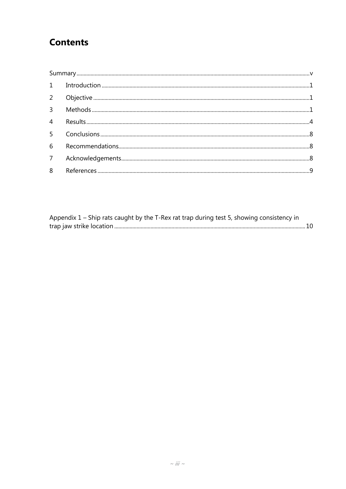# **Contents**

|                | $1 \qquad In traditional action \_{}{} \dots \_{}{} \dots \_{}{} \dots \_{}{} \dots \_{}{} \dots \_{}{} \dots \_{}{} \dots \_{}{} \dots \_{}{} \dots \_{}{} \dots \_{}{} \dots \_{}{} \dots \_{}{} \dots \_{}{} \dots \_{}{} \dots \_{}{} \dots \_{}{} \dots \_{}{} \dots \_{}{} \dots \_{}{} \dots \_{}{} \dots \_{} \dots \_{} \dots \_{} \dots \_{} \dots \_{} \dots \_{} \dots \_{} \dots \_{} \dots \_{} \dots \_{} \dots \_{} \dots \_{} \dots \_{} \dots \_{} \dots \_{} \dots \_{} \dots \_{} \dots \_$ |  |  |  |  |  |
|----------------|-----------------------------------------------------------------------------------------------------------------------------------------------------------------------------------------------------------------------------------------------------------------------------------------------------------------------------------------------------------------------------------------------------------------------------------------------------------------------------------------------------------------|--|--|--|--|--|
|                |                                                                                                                                                                                                                                                                                                                                                                                                                                                                                                                 |  |  |  |  |  |
| $\overline{3}$ |                                                                                                                                                                                                                                                                                                                                                                                                                                                                                                                 |  |  |  |  |  |
| $\overline{4}$ |                                                                                                                                                                                                                                                                                                                                                                                                                                                                                                                 |  |  |  |  |  |
|                |                                                                                                                                                                                                                                                                                                                                                                                                                                                                                                                 |  |  |  |  |  |
| 6              |                                                                                                                                                                                                                                                                                                                                                                                                                                                                                                                 |  |  |  |  |  |
| 7 <sup>7</sup> |                                                                                                                                                                                                                                                                                                                                                                                                                                                                                                                 |  |  |  |  |  |
| 8              |                                                                                                                                                                                                                                                                                                                                                                                                                                                                                                                 |  |  |  |  |  |

| Appendix $1$ – Ship rats caught by the T-Rex rat trap during test 5, showing consistency in |  |
|---------------------------------------------------------------------------------------------|--|
|                                                                                             |  |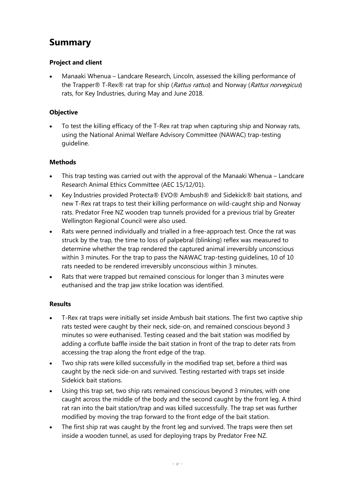## <span id="page-6-0"></span>**Summary**

#### **Project and client**

• Manaaki Whenua – Landcare Research, Lincoln, assessed the killing performance of the Trapper® T-Rex® rat trap for ship (Rattus rattus) and Norway (Rattus norvegicus) rats, for Key Industries, during May and June 2018.

#### **Objective**

• To test the killing efficacy of the T-Rex rat trap when capturing ship and Norway rats, using the National Animal Welfare Advisory Committee (NAWAC) trap-testing guideline.

#### **Methods**

- This trap testing was carried out with the approval of the Manaaki Whenua Landcare Research Animal Ethics Committee (AEC 15/12/01).
- Key Industries provided Protecta® EVO® Ambush® and Sidekick® bait stations, and new T-Rex rat traps to test their killing performance on wild-caught ship and Norway rats. Predator Free NZ wooden trap tunnels provided for a previous trial by Greater Wellington Regional Council were also used.
- Rats were penned individually and trialled in a free-approach test. Once the rat was struck by the trap, the time to loss of palpebral (blinking) reflex was measured to determine whether the trap rendered the captured animal irreversibly unconscious within 3 minutes. For the trap to pass the NAWAC trap-testing guidelines, 10 of 10 rats needed to be rendered irreversibly unconscious within 3 minutes.
- Rats that were trapped but remained conscious for longer than 3 minutes were euthanised and the trap jaw strike location was identified.

#### **Results**

- T-Rex rat traps were initially set inside Ambush bait stations. The first two captive ship rats tested were caught by their neck, side-on, and remained conscious beyond 3 minutes so were euthanised. Testing ceased and the bait station was modified by adding a corflute baffle inside the bait station in front of the trap to deter rats from accessing the trap along the front edge of the trap.
- Two ship rats were killed successfully in the modified trap set, before a third was caught by the neck side-on and survived. Testing restarted with traps set inside Sidekick bait stations.
- Using this trap set, two ship rats remained conscious beyond 3 minutes, with one caught across the middle of the body and the second caught by the front leg. A third rat ran into the bait station/trap and was killed successfully. The trap set was further modified by moving the trap forward to the front edge of the bait station.
- The first ship rat was caught by the front leg and survived. The traps were then set inside a wooden tunnel, as used for deploying traps by Predator Free NZ.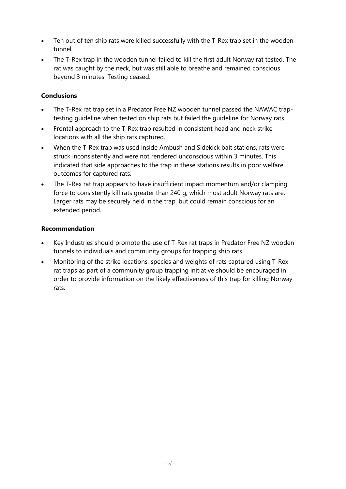- Ten out of ten ship rats were killed successfully with the T-Rex trap set in the wooden tunnel.
- The T-Rex trap in the wooden tunnel failed to kill the first adult Norway rat tested. The rat was caught by the neck, but was still able to breathe and remained conscious beyond 3 minutes. Testing ceased.

#### **Conclusions**

- The T-Rex rat trap set in a Predator Free NZ wooden tunnel passed the NAWAC traptesting guideline when tested on ship rats but failed the guideline for Norway rats.
- Frontal approach to the T-Rex trap resulted in consistent head and neck strike locations with all the ship rats captured.
- When the T-Rex trap was used inside Ambush and Sidekick bait stations, rats were struck inconsistently and were not rendered unconscious within 3 minutes. This indicated that side approaches to the trap in these stations results in poor welfare outcomes for captured rats.
- The T-Rex rat trap appears to have insufficient impact momentum and/or clamping force to consistently kill rats greater than 240 g, which most adult Norway rats are. Larger rats may be securely held in the trap, but could remain conscious for an extended period.

#### **Recommendation**

- Key Industries should promote the use of T-Rex rat traps in Predator Free NZ wooden tunnels to individuals and community groups for trapping ship rats.
- Monitoring of the strike locations, species and weights of rats captured using T-Rex rat traps as part of a community group trapping initiative should be encouraged in order to provide information on the likely effectiveness of this trap for killing Norway rats.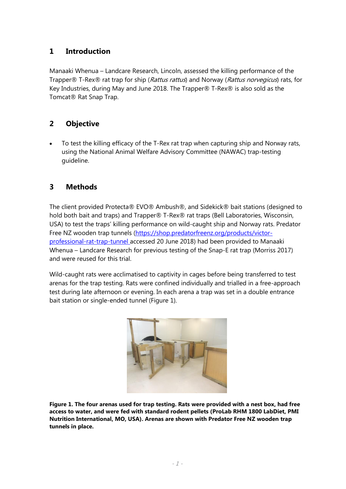#### <span id="page-8-0"></span>**1 Introduction**

Manaaki Whenua – Landcare Research, Lincoln, assessed the killing performance of the Trapper® T-Rex® rat trap for ship (Rattus rattus) and Norway (Rattus norvegicus) rats, for Key Industries, during May and June 2018. The Trapper® T-Rex® is also sold as the Tomcat® Rat Snap Trap.

#### <span id="page-8-1"></span>**2 Objective**

• To test the killing efficacy of the T-Rex rat trap when capturing ship and Norway rats, using the National Animal Welfare Advisory Committee (NAWAC) trap-testing guideline.

#### <span id="page-8-2"></span>**3 Methods**

The client provided Protecta® EVO® Ambush®, and Sidekick® bait stations (designed to hold both bait and traps) and Trapper® T-Rex® rat traps (Bell Laboratories, Wisconsin, USA) to test the traps' killing performance on wild-caught ship and Norway rats. Predator Free NZ wooden trap tunnels [\(https://shop.predatorfreenz.org/products/victor](https://shop.predatorfreenz.org/products/victor-professional-rat-trap-tunnel%20accessed%2020%20June%202018)[professional-rat-trap-tunnel accessed 20 June 2018\)](https://shop.predatorfreenz.org/products/victor-professional-rat-trap-tunnel%20accessed%2020%20June%202018) had been provided to Manaaki Whenua – Landcare Research for previous testing of the Snap-E rat trap (Morriss 2017) and were reused for this trial.

Wild-caught rats were acclimatised to captivity in cages before being transferred to test arenas for the trap testing. Rats were confined individually and trialled in a free-approach test during late afternoon or evening. In each arena a trap was set in a double entrance bait station or single-ended tunnel (Figure 1).



**Figure 1. The four arenas used for trap testing. Rats were provided with a nest box, had free access to water, and were fed with standard rodent pellets (ProLab RHM 1800 LabDiet, PMI Nutrition International, MO, USA). Arenas are shown with Predator Free NZ wooden trap tunnels in place.**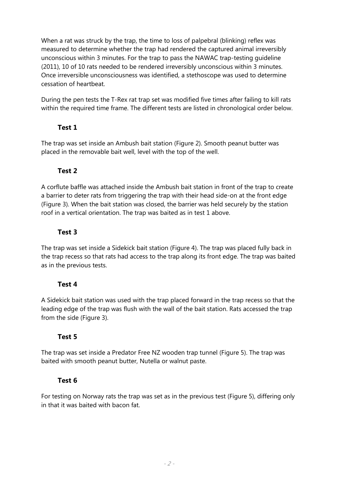When a rat was struck by the trap, the time to loss of palpebral (blinking) reflex was measured to determine whether the trap had rendered the captured animal irreversibly unconscious within 3 minutes. For the trap to pass the NAWAC trap-testing guideline (2011), 10 of 10 rats needed to be rendered irreversibly unconscious within 3 minutes. Once irreversible unconsciousness was identified, a stethoscope was used to determine cessation of heartbeat.

During the pen tests the T-Rex rat trap set was modified five times after failing to kill rats within the required time frame. The different tests are listed in chronological order below.

#### **Test 1**

The trap was set inside an Ambush bait station (Figure 2). Smooth peanut butter was placed in the removable bait well, level with the top of the well.

#### **Test 2**

A corflute baffle was attached inside the Ambush bait station in front of the trap to create a barrier to deter rats from triggering the trap with their head side-on at the front edge (Figure 3). When the bait station was closed, the barrier was held securely by the station roof in a vertical orientation. The trap was baited as in test 1 above.

#### **Test 3**

The trap was set inside a Sidekick bait station (Figure 4). The trap was placed fully back in the trap recess so that rats had access to the trap along its front edge. The trap was baited as in the previous tests.

#### **Test 4**

A Sidekick bait station was used with the trap placed forward in the trap recess so that the leading edge of the trap was flush with the wall of the bait station. Rats accessed the trap from the side (Figure 3).

#### **Test 5**

The trap was set inside a Predator Free NZ wooden trap tunnel (Figure 5). The trap was baited with smooth peanut butter, Nutella or walnut paste.

#### **Test 6**

For testing on Norway rats the trap was set as in the previous test (Figure 5), differing only in that it was baited with bacon fat.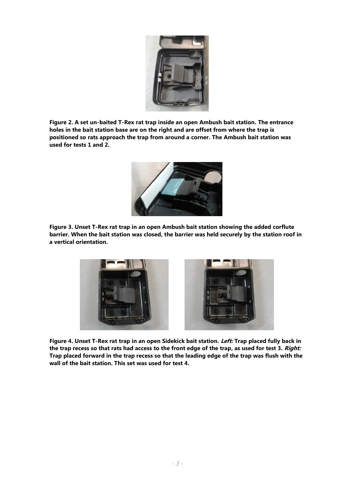

**Figure 2. A set un-baited T-Rex rat trap inside an open Ambush bait station. The entrance holes in the bait station base are on the right and are offset from where the trap is positioned so rats approach the trap from around a corner. The Ambush bait station was used for tests 1 and 2.**



**Figure 3. Unset T-Rex rat trap in an open Ambush bait station showing the added corflute barrier. When the bait station was closed, the barrier was held securely by the station roof in a vertical orientation.**



**Figure 4. Unset T-Rex rat trap in an open Sidekick bait station. Left: Trap placed fully back in the trap recess so that rats had access to the front edge of the trap, as used for test 3. Right: Trap placed forward in the trap recess so that the leading edge of the trap was flush with the wall of the bait station. This set was used for test 4.**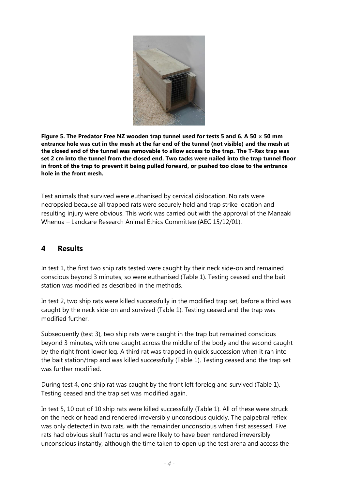

**Figure 5. The Predator Free NZ wooden trap tunnel used for tests 5 and 6. A 50 × 50 mm entrance hole was cut in the mesh at the far end of the tunnel (not visible) and the mesh at the closed end of the tunnel was removable to allow access to the trap. The T-Rex trap was set 2 cm into the tunnel from the closed end. Two tacks were nailed into the trap tunnel floor in front of the trap to prevent it being pulled forward, or pushed too close to the entrance hole in the front mesh.** 

Test animals that survived were euthanised by cervical dislocation. No rats were necropsied because all trapped rats were securely held and trap strike location and resulting injury were obvious. This work was carried out with the approval of the Manaaki Whenua – Landcare Research Animal Ethics Committee (AEC 15/12/01).

#### <span id="page-11-0"></span>**4 Results**

In test 1, the first two ship rats tested were caught by their neck side-on and remained conscious beyond 3 minutes, so were euthanised (Table 1). Testing ceased and the bait station was modified as described in the methods.

In test 2, two ship rats were killed successfully in the modified trap set, before a third was caught by the neck side-on and survived (Table 1). Testing ceased and the trap was modified further.

Subsequently (test 3), two ship rats were caught in the trap but remained conscious beyond 3 minutes, with one caught across the middle of the body and the second caught by the right front lower leg. A third rat was trapped in quick succession when it ran into the bait station/trap and was killed successfully (Table 1). Testing ceased and the trap set was further modified.

During test 4, one ship rat was caught by the front left foreleg and survived (Table 1). Testing ceased and the trap set was modified again.

In test 5, 10 out of 10 ship rats were killed successfully (Table 1). All of these were struck on the neck or head and rendered irreversibly unconscious quickly. The palpebral reflex was only detected in two rats, with the remainder unconscious when first assessed. Five rats had obvious skull fractures and were likely to have been rendered irreversibly unconscious instantly, although the time taken to open up the test arena and access the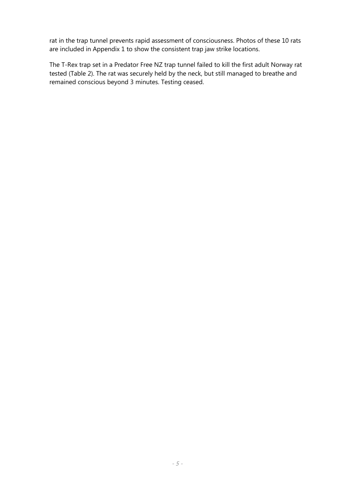rat in the trap tunnel prevents rapid assessment of consciousness. Photos of these 10 rats are included in Appendix 1 to show the consistent trap jaw strike locations.

The T-Rex trap set in a Predator Free NZ trap tunnel failed to kill the first adult Norway rat tested (Table 2). The rat was securely held by the neck, but still managed to breathe and remained conscious beyond 3 minutes. Testing ceased.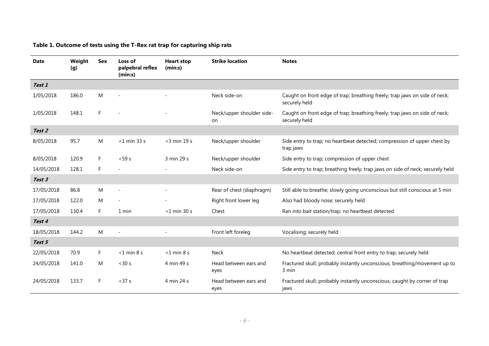#### **Table 1. Outcome of tests using the T-Rex rat trap for capturing ship rats**

| <b>Date</b> | Weight<br>(g) | Sex       | Loss of<br>palpebral reflex<br>(min:s) | <b>Heart stop</b><br>(min:s) | <b>Strike location</b>          | <b>Notes</b>                                                                                |
|-------------|---------------|-----------|----------------------------------------|------------------------------|---------------------------------|---------------------------------------------------------------------------------------------|
| Test 1      |               |           |                                        |                              |                                 |                                                                                             |
| 1/05/2018   | 186.0         | M         | $\overline{a}$                         |                              | Neck side-on                    | Caught on front edge of trap; breathing freely; trap jaws on side of neck;<br>securely held |
| 1/05/2018   | 148.1         | F.        |                                        |                              | Neck/upper shoulder side-<br>on | Caught on front edge of trap; breathing freely; trap jaws on side of neck;<br>securely held |
| Test 2      |               |           |                                        |                              |                                 |                                                                                             |
| 8/05/2018   | 95.7          | ${\sf M}$ | $<$ 1 min 33 s                         | $<$ 3 min 19 s               | Neck/upper shoulder             | Side entry to trap; no heartbeat detected; compression of upper chest by<br>trap jaws       |
| 8/05/2018   | 120.9         | F.        | $<$ 59 s                               | 3 min 29 s                   | Neck/upper shoulder             | Side entry to trap; compression of upper chest                                              |
| 14/05/2018  | 128.1         | F.        |                                        |                              | Neck side-on                    | Side entry to trap; breathing freely; trap jaws on side of neck; securely held              |
| Test 3      |               |           |                                        |                              |                                 |                                                                                             |
| 17/05/2018  | 86.8          | M         | $\overline{a}$                         |                              | Rear of chest (diaphragm)       | Still able to breathe; slowly going unconscious but still conscious at 5 min                |
| 17/05/2018  | 122.0         | M         |                                        |                              | Right front lower leg           | Also had bloody nose; securely held                                                         |
| 17/05/2018  | 130.4         | F.        | 1 min                                  | $<$ 1 min 30 s               | Chest                           | Ran into bait station/trap; no heartbeat detected                                           |
| Test 4      |               |           |                                        |                              |                                 |                                                                                             |
| 18/05/2018  | 144.2         | M         |                                        |                              | Front left foreleg              | Vocalising; securely held                                                                   |
| Test 5      |               |           |                                        |                              |                                 |                                                                                             |
| 22/05/2018  | 70.9          | F.        | $< 1$ min 8 s                          | $< 1$ min 8 s                | <b>Neck</b>                     | No heartbeat detected; central front entry to trap; securely held                           |
| 24/05/2018  | 141.0         | M         | < 30 s                                 | 4 min 49 s                   | Head between ears and<br>eyes   | Fractured skull; probably instantly unconscious; breathing/movement up to<br>3 min          |
| 24/05/2018  | 133.7         | F.        | < 37 s                                 | 4 min 24 s                   | Head between ears and<br>eyes   | Fractured skull; probably instantly unconscious; caught by corner of trap<br>jaws           |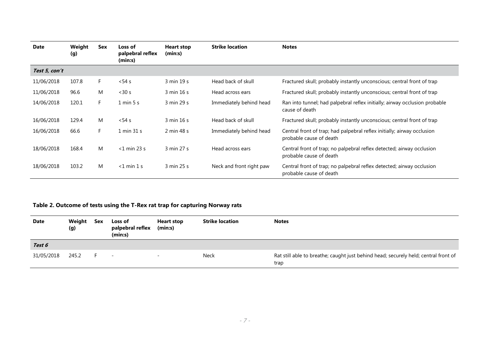| <b>Date</b>   | Weight<br>(g) | Sex | Loss of<br>palpebral reflex<br>(min:s) | Heart stop<br>(min:s) | <b>Strike location</b>   | <b>Notes</b>                                                                                       |
|---------------|---------------|-----|----------------------------------------|-----------------------|--------------------------|----------------------------------------------------------------------------------------------------|
| Test 5, con't |               |     |                                        |                       |                          |                                                                                                    |
| 11/06/2018    | 107.8         | F.  | $<$ 54 s                               | 3 min 19 s            | Head back of skull       | Fractured skull; probably instantly unconscious; central front of trap                             |
| 11/06/2018    | 96.6          | M   | < 30 s                                 | 3 min 16 s            | Head across ears         | Fractured skull; probably instantly unconscious; central front of trap                             |
| 14/06/2018    | 120.1         | F.  | $1 \text{ min } 5 \text{ s}$           | 3 min 29 s            | Immediately behind head  | Ran into tunnel; had palpebral reflex initially; airway occlusion probable<br>cause of death       |
| 16/06/2018    | 129.4         | M   | $<$ 54 s                               | 3 min 16 s            | Head back of skull       | Fractured skull; probably instantly unconscious; central front of trap                             |
| 16/06/2018    | 66.6          | F.  | 1 min 31 s                             | 2 min 48 s            | Immediately behind head  | Central front of trap; had palpebral reflex initially; airway occlusion<br>probable cause of death |
| 18/06/2018    | 168.4         | M   | $<$ 1 min 23 s                         | 3 min 27 s            | Head across ears         | Central front of trap; no palpebral reflex detected; airway occlusion<br>probable cause of death   |
| 18/06/2018    | 103.2         | M   | $<$ 1 min 1 s                          | 3 min 25 s            | Neck and front right paw | Central front of trap; no palpebral reflex detected; airway occlusion<br>probable cause of death   |

#### **Table 2. Outcome of tests using the T-Rex rat trap for capturing Norway rats**

| <b>Date</b> | Weight<br>(g) | Sex | Loss of<br>palpebral reflex<br>(min:s) | <b>Heart stop</b><br>(min:s) | <b>Strike location</b> | <b>Notes</b>                                                                                |
|-------------|---------------|-----|----------------------------------------|------------------------------|------------------------|---------------------------------------------------------------------------------------------|
| Test 6      |               |     |                                        |                              |                        |                                                                                             |
| 31/05/2018  | 245.2         |     | $\sim 100$ m $^{-1}$                   | $\sim$                       | Neck                   | Rat still able to breathe; caught just behind head; securely held; central front of<br>trap |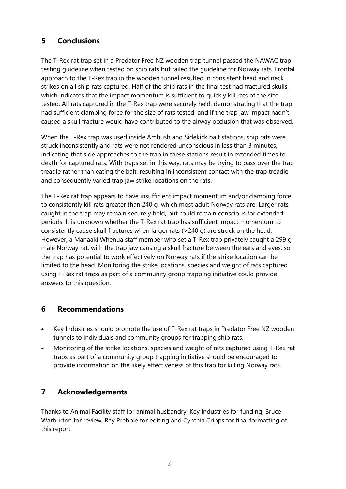### <span id="page-15-0"></span>**5 Conclusions**

The T-Rex rat trap set in a Predator Free NZ wooden trap tunnel passed the NAWAC traptesting guideline when tested on ship rats but failed the guideline for Norway rats. Frontal approach to the T-Rex trap in the wooden tunnel resulted in consistent head and neck strikes on all ship rats captured. Half of the ship rats in the final test had fractured skulls, which indicates that the impact momentum is sufficient to quickly kill rats of the size tested. All rats captured in the T-Rex trap were securely held, demonstrating that the trap had sufficient clamping force for the size of rats tested, and if the trap jaw impact hadn't caused a skull fracture would have contributed to the airway occlusion that was observed.

When the T-Rex trap was used inside Ambush and Sidekick bait stations, ship rats were struck inconsistently and rats were not rendered unconscious in less than 3 minutes, indicating that side approaches to the trap in these stations result in extended times to death for captured rats. With traps set in this way, rats may be trying to pass over the trap treadle rather than eating the bait, resulting in inconsistent contact with the trap treadle and consequently varied trap jaw strike locations on the rats.

The T-Rex rat trap appears to have insufficient impact momentum and/or clamping force to consistently kill rats greater than 240 g, which most adult Norway rats are. Larger rats caught in the trap may remain securely held, but could remain conscious for extended periods. It is unknown whether the T-Rex rat trap has sufficient impact momentum to consistently cause skull fractures when larger rats (>240 g) are struck on the head. However, a Manaaki Whenua staff member who set a T-Rex trap privately caught a 299 g male Norway rat, with the trap jaw causing a skull fracture between the ears and eyes, so the trap has potential to work effectively on Norway rats if the strike location can be limited to the head. Monitoring the strike locations, species and weight of rats captured using T-Rex rat traps as part of a community group trapping initiative could provide answers to this question.

#### <span id="page-15-1"></span>**6 Recommendations**

- Key Industries should promote the use of T-Rex rat traps in Predator Free NZ wooden tunnels to individuals and community groups for trapping ship rats.
- Monitoring of the strike locations, species and weight of rats captured using T-Rex rat traps as part of a community group trapping initiative should be encouraged to provide information on the likely effectiveness of this trap for killing Norway rats.

## <span id="page-15-2"></span>**7 Acknowledgements**

Thanks to Animal Facility staff for animal husbandry, Key Industries for funding, Bruce Warburton for review, Ray Prebble for editing and Cynthia Cripps for final formatting of this report.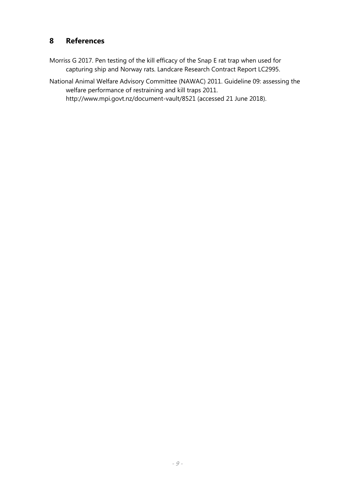### <span id="page-16-0"></span>**8 References**

Morriss G 2017. Pen testing of the kill efficacy of the Snap E rat trap when used for capturing ship and Norway rats. Landcare Research Contract Report LC2995.

National Animal Welfare Advisory Committee (NAWAC) 2011. Guideline 09: assessing the welfare performance of restraining and kill traps 2011. http://www.mpi.govt.nz/document-vault/8521 (accessed 21 June 2018).